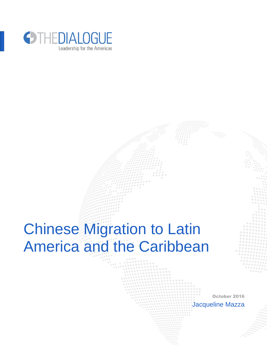

# Chinese Migration to Latin America and the Caribbean

October 2016 Jacqueline Mazza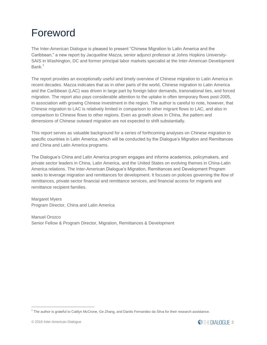## Foreword

The Inter-American Dialogue is pleased to present "Chinese Migration to Latin America and the Caribbean," a new report by Jacqueline Mazza, senior adjunct professor at Johns Hopkins University-SAIS in Washington, DC and former principal labor markets specialist at the Inter-American Development Bank $<sup>1</sup>$ </sup>

The report provides an exceptionally useful and timely overview of Chinese migration to Latin America in recent decades. Mazza indicates that as in other parts of the world, Chinese migration to Latin America and the Caribbean (LAC) was driven in large part by foreign labor demands, transnational ties, and forced migration. The report also pays considerable attention to the uptake in often temporary flows post-2005, in association with growing Chinese investment in the region. The author is careful to note, however, that Chinese migration to LAC is relatively limited in comparison to other migrant flows to LAC, and also in comparison to Chinese flows to other regions. Even as growth slows in China, the pattern and dimensions of Chinese outward migration are not expected to shift substantially.

This report serves as valuable background for a series of forthcoming analyses on Chinese migration to specific countries in Latin America, which will be conducted by the Dialogue's Migration and Remittances and China and Latin America programs.

The Dialogue's China and Latin America program engages and informs academics, policymakers, and private sector leaders in China, Latin America, and the United States on evolving themes in China-Latin America relations. The Inter-American Dialogue's Migration, Remittances and Development Program seeks to leverage migration and remittances for development. It focuses on policies governing the flow of remittances, private sector financial and remittance services, and financial access for migrants and remittance recipient families.

Margaret Myers Program Director, China and Latin America

Manuel Orozco Senior Fellow & Program Director, Migration, Remittances & Development



<sup>&</sup>lt;sup>1</sup> The author is grateful to Caitlyn McCrone, Ge Zhang, and Danilo Fernandez da Silva for their research assistance.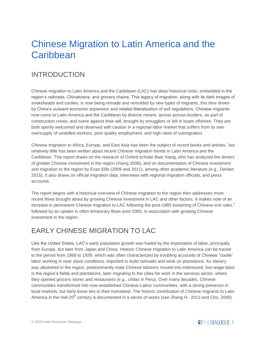## Chinese Migration to Latin America and the **Caribbean**

## INTRODUCTION

Chinese migration to Latin America and the Caribbean (LAC) has deep historical roots, embedded in the region's railroads, Chinatowns, and grocery chains. This legacy of migration, along with its dark images of snakeheads and coolies, is now being remade and remolded by new types of migrants, this time driven by China's outward economic expansion and related liberalization of exit regulations. Chinese migrants now come to Latin America and the Caribbean by diverse means: across porous borders, as part of construction crews, and some against their will, brought by smugglers or left in boats offshore. They are both openly welcomed and observed with caution in a regional labor market that suffers from its own oversupply of unskilled workers, poor quality employment, and high rates of outmigration.

Chinese migration to Africa, Europe, and East Asia has been the subject of recent books and articles, <sup>i</sup> but relatively little has been written about recent Chinese migration trends in Latin America and the Caribbean. This report draws on the research of Oxford scholar Biao Xiang, who has analyzed the drivers of greater Chinese investment in the region (Xiang 2006), and on documentation of Chinese investment and migration to the region by Evan Ellis (2009 and 2011), among other academic literature (e.g., DeHart, 2015). It also draws on official migration data, interviews with regional migration officials, and press accounts.

The report begins with a historical overview of Chinese migration to the region then addresses more recent flows brought about by growing Chinese investment in LAC and other factors. It makes note of an increase in permanent Chinese migration to LAC following the post-1985 loosening of Chinese exit rules," followed by an uptake in often temporary flows post-2005, in association with growing Chinese investment in the region.

## EARLY CHINESE MIGRATION TO LAC

Like the United States, LAC's early population growth was fueled by the importation of labor, principally from Europe, but later from Japan and China. Historic Chinese migration to Latin America can be traced to the period from 1868 to 1939, which was often characterized by troubling accounts of Chinese "coolie" labor working in near slave conditions, imported to build railroads and work on plantations. As slavery was abolished in the region, predominantly male Chinese laborers moved into indentured, low-wage labor in the region's fields and plantations, later migrating to the cities for work in the services sector, where they opened grocery stores and restaurants (e.g., *chifas* in Peru). Over many decades, Chinese communities transformed into now-established Chinese-Latino communities, with a strong presence in local markets, but fairly loose ties to their homeland. The historic contribution of Chinese migrants to Latin America in the mid-20<sup>th</sup> century is documented in a series of works (see Zhang H.. 2013 and Cho, 2000).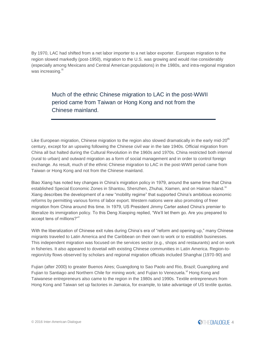By 1970, LAC had shifted from a net labor importer to a net labor exporter. European migration to the region slowed markedly (post-1950), migration to the U.S. was growing and would rise considerably (especially among Mexicans and Central American populations) in the 1980s, and intra-regional migration was increasing.<sup>iii</sup>

Much of the ethnic Chinese migration to LAC in the post-WWII period came from Taiwan or Hong Kong and not from the Chinese mainland.

Like European migration, Chinese migration to the region also slowed dramatically in the early mid- $20<sup>th</sup>$ century, except for an upswing following the Chinese civil war in the late 1940s. Official migration from China all but halted during the Cultural Revolution in the 1960s and 1970s. China restricted both internal (rural to urban) and outward migration as a form of social management and in order to control foreign exchange. As result, much of the ethnic Chinese migration to LAC in the post-WWII period came from Taiwan or Hong Kong and not from the Chinese mainland.

Biao Xiang has noted key changes in China's migration policy in 1979, around the same time that China established Special Economic Zones in Shantou, Shenzhen, Zhuhai, Xiamen, and on Hainan Island.<sup>17</sup> Xiang describes the development of a new "mobility regime" that supported China's ambitious economic reforms by permitting various forms of labor export. Western nations were also promoting of freer migration from China around this time. In 1979, US President Jimmy Carter asked China's premier to liberalize its immigration policy. To this Deng Xiaoping replied, "We'll let them go. Are you prepared to accept tens of millions?"<sup>v</sup>

With the liberalization of Chinese exit rules during China's era of "reform and opening-up," many Chinese migrants traveled to Latin America and the Caribbean on their own to work or to establish businesses. This independent migration was focused on the services sector (e.g., shops and restaurants) and on work in fisheries. It also appeared to dovetail with existing Chinese communities in Latin America. Region-toregion/city flows observed by scholars and regional migration officials included Shanghai (1970-90) and

Fujian (after 2000) to greater Buenos Aires; Guangdong to Sao Paolo and Rio, Brazil; Guangdong and Fujian to Santiago and Northern Chile for mining work; and Fujian to Venezuela.<sup>vi</sup> Hong Kong and Taiwanese entrepreneurs also came to the region in the 1980s and 1990s. Textile entrepreneurs from Hong Kong and Taiwan set up factories in Jamaica, for example, to take advantage of US textile quotas.

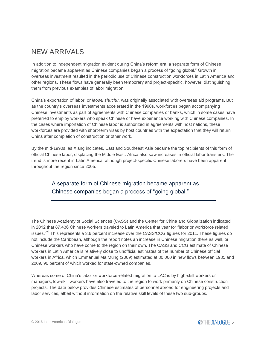## NEW ARRIVALS

In addition to independent migration evident during China's reform era, a separate form of Chinese migration became apparent as Chinese companies began a process of "going global." Growth in overseas investment resulted in the periodic use of Chinese construction workforces in Latin America and other regions. These flows have generally been temporary and project-specific, however, distinguishing them from previous examples of labor migration.

China's exportation of labor, or *laowu shuchu*, was originally associated with overseas aid programs. But as the country's overseas investments accelerated in the 1990s, workforces began accompanying Chinese investments as part of agreements with Chinese companies or banks, which in some cases have preferred to employ workers who speak Chinese or have experience working with Chinese companies. In the cases where importation of Chinese labor is authorized in agreements with host nations, these workforces are provided with short-term visas by host countries with the expectation that they will return China after completion of construction or other work.

By the mid-1990s, as Xiang indicates, East and Southeast Asia became the top recipients of this form of official Chinese labor, displacing the Middle East. Africa also saw increases in official labor transfers. The trend is more recent in Latin America, although project-specific Chinese laborers have been apparent throughout the region since 2005.

### A separate form of Chinese migration became apparent as Chinese companies began a process of "going global."

The Chinese Academy of Social Sciences (CASS) and the Center for China and Globalization indicated in 2012 that 87,436 Chinese workers traveled to Latin America that year for "labor or workforce related issues."<sup>vii</sup> This represents a 3.6 percent increase over the CASS/CCG figures for 2011. These figures do not include the Caribbean, although the report notes an increase in Chinese migration there as well, or Chinese workers who have come to the region on their own. The CASS and CCG estimate of Chinese workers in Latin America is relatively close to unofficial estimates of the number of Chinese official workers in Africa, which Emmanuel Ma Mung (2009) estimated at 80,000 in new flows between 1985 and 2009, 90 percent of which worked for state-owned companies.

Whereas some of China's labor or workforce-related migration to LAC is by high-skill workers or managers, low-skill workers have also traveled to the region to work primarily on Chinese construction projects. The data below provides Chinese estimates of personnel abroad for engineering projects and labor services, albeit without information on the relative skill levels of these two sub-groups.

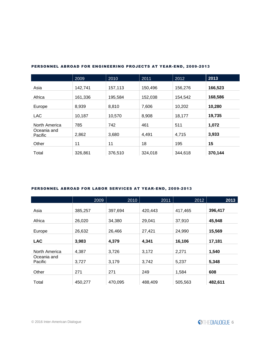|                        | 2009    | 2010    | 2011    | 2012    | 2013    |
|------------------------|---------|---------|---------|---------|---------|
| Asia                   | 142,741 | 157,113 | 150,496 | 156,276 | 166,523 |
| Africa                 | 161,336 | 195,584 | 152,038 | 154,542 | 168,586 |
| Europe                 | 8,939   | 8,810   | 7,606   | 10,202  | 10,280  |
|                        |         |         |         |         |         |
| <b>LAC</b>             | 10,187  | 10,570  | 8,908   | 18,177  | 19,735  |
| North America          | 785     | 742     | 461     | 511     | 1,072   |
| Oceania and<br>Pacific | 2,862   | 3,680   | 4,491   | 4,715   | 3,933   |
| Other                  | 11      | 11      | 18      | 195     | 15      |
| Total                  | 326,861 | 376,510 | 324,018 | 344,618 | 370,144 |

#### PERSONNEL ABROAD FOR ENGINEERING PROJECTS AT YEAR-END, 2009-2013

#### PERSONNEL ABROAD FOR LABOR SERVICES AT YEAR-END, 2009-2013

|                        | 2009    | 2010    | 2011    | 2012    | 2013    |
|------------------------|---------|---------|---------|---------|---------|
| Asia                   | 385,257 | 397,694 | 420,443 | 417,465 | 396,417 |
| Africa                 | 26,020  | 34,380  | 29,041  | 37,910  | 45,948  |
| Europe                 | 26,632  | 26,466  | 27,421  | 24,990  | 15,569  |
| <b>LAC</b>             | 3,983   | 4,379   | 4,341   | 16,106  | 17,181  |
| North America          | 4,387   | 3,726   | 3,172   | 2,271   | 1,540   |
| Oceania and<br>Pacific | 3,727   | 3,179   | 3,742   | 5,237   | 5,348   |
| Other                  | 271     | 271     | 249     | 1,584   | 608     |
| Total                  | 450,277 | 470,095 | 488,409 | 505,563 | 482,611 |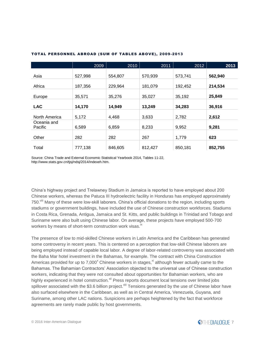|                        | 2009    | 2010    | 2011    | 2012    | 2013    |
|------------------------|---------|---------|---------|---------|---------|
| Asia                   | 527,998 | 554,807 | 570,939 | 573,741 | 562,940 |
| Africa                 | 187,356 | 229,964 | 181,079 | 192,452 | 214,534 |
| Europe                 | 35,571  | 35,276  | 35,027  | 35,192  | 25,849  |
| <b>LAC</b>             | 14,170  | 14,949  | 13,249  | 34,283  | 36,916  |
| North America          | 5,172   | 4,468   | 3,633   | 2,782   | 2,612   |
| Oceania and<br>Pacific | 6,589   | 6,859   | 8,233   | 9,952   | 9,281   |
| Other                  | 282     | 282     | 267     | 1,779   | 623     |
| Total                  | 777,138 | 846,605 | 812,427 | 850,181 | 852,755 |

#### TOTAL PERSONNEL ABROAD (SUM OF TABLES ABOVE), 2009-2013

Source: China Trade and External Economic Statistical Yearbook 2014, Tables 11-22, http://www.stats.gov.cn/tjsj/ndsj/2014/indexeh.htm.

China's highway project and Trelawney Stadium in Jamaica is reported to have employed about 200 Chinese workers, whereas the Patuca III hydroelectric facility in Honduras has employed approximately 750.<sup>viii</sup> Many of these were low-skill laborers. China's official donations to the region, including sports stadiums or government buildings, have included the use of Chinese construction workforces. Stadiums in Costa Rica, Grenada, Antigua, Jamaica and St. Kitts, and public buildings in Trinidad and Tobago and Suriname were also built using Chinese labor. On average, these projects have employed 500-700 workers by means of short-term construction work visas.<sup>ix</sup>

The presence of low to mid-skilled Chinese workers in Latin America and the Caribbean has generated some controversy in recent years. This is centered on a perception that low-skill Chinese laborers are being employed instead of capable local labor. A degree of labor-related controversy was associated with the Baha Mar hotel investment in the Bahamas, for example. The contract with China Construction Americas provided for up to  $7,000^x$  Chinese workers in stages,  $x_i$  although fewer actually came to the Bahamas. The Bahamian Contractors' Association objected to the universal use of Chinese construction workers, indicating that they were not consulted about opportunities for Bahamian workers, who are highly experienced in hotel construction.<sup>xii</sup> Press reports document local tensions over limited jobs spillover associated with the \$3.6 billion project.<sup>xiii</sup> Tensions generated by the use of Chinese labor have also surfaced elsewhere in the Caribbean, as well as in Central America, Venezuela, Guyana, and Suriname, among other LAC nations. Suspicions are perhaps heightened by the fact that workforce agreements are rarely made public by host governments.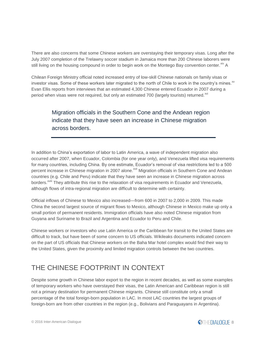There are also concerns that some Chinese workers are overstaying their temporary visas. Long after the July 2007 completion of the Trelawny soccer stadium in Jamaica more than 200 Chinese laborers were still living on the housing compound in order to begin work on the Montego Bay convention center. Xiv A

Chilean Foreign Ministry official noted increased entry of low-skill Chinese nationals on family visas or investor visas. Some of these workers later migrated to the north of Chile to work in the country's mines. $^{x}$ Evan Ellis reports from interviews that an estimated 4,300 Chinese entered Ecuador in 2007 during a period when visas were not required, but only an estimated 700 (largely tourists) returned. $x<sup>wt</sup>$ 

### Migration officials in the Southern Cone and the Andean region indicate that they have seen an increase in Chinese migration across borders.

In addition to China's exportation of labor to Latin America, a wave of independent migration also occurred after 2007, when Ecuador, Colombia (for one year only), and Venezuela lifted visa requirements for many countries, including China. By one estimate, Ecuador's removal of visa restrictions led to a 500 percent increase in Chinese migration in 2007 alone.<sup>xvii</sup> Migration officials in Southern Cone and Andean countries (e.g. Chile and Peru) indicate that they have seen an increase in Chinese migration across borders.<sup>xviii</sup> They attribute this rise to the relaxation of visa requirements in Ecuador and Venezuela, although flows of intra-regional migration are difficult to determine with certainty.

Official inflows of Chinese to Mexico also increased—from 600 in 2007 to 2,000 in 2009. This made China the second largest source of migrant flows to Mexico, although Chinese in Mexico make up only a small portion of permanent residents. Immigration officials have also noted Chinese migration from Guyana and Suriname to Brazil and Argentina and Ecuador to Peru and Chile.

Chinese workers or investors who use Latin America or the Caribbean for transit to the United States are difficult to track, but have been of some concern to US officials. Wikileaks documents indicated concern on the part of US officials that Chinese workers on the Baha Mar hotel complex would find their way to the United States, given the proximity and limited migration controls between the two countries.

## THE CHINESE FOOTPRINT IN CONTEXT

Despite some growth in Chinese labor export to the region in recent decades, as well as some examples of temporary workers who have overstayed their visas, the Latin American and Caribbean region is still not a primary destination for permanent Chinese migrants. Chinese still constitute only a small percentage of the total foreign-born population in LAC. In most LAC countries the largest groups of foreign-born are from other countries in the region (e.g., Bolivians and Paraguayans in Argentina).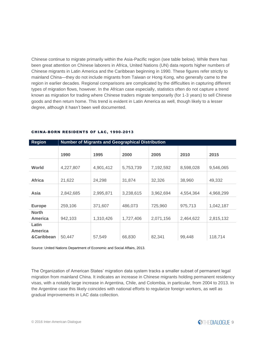Chinese continue to migrate primarily within the Asia-Pacific region (see table below). While there has been great attention on Chinese laborers in Africa, United Nations (UN) data reports higher numbers of Chinese migrants in Latin America and the Caribbean beginning in 1990. These figures refer strictly to mainland China—they do not include migrants from Taiwan or Hong Kong, who generally came to the region in earlier decades. Regional comparisons are complicated by the difficulties in capturing different types of migration flows, however. In the African case especially, statistics often do not capture a trend known as migration for trading where Chinese traders migrate temporarily (for 1-3 years) to sell Chinese goods and then return home. This trend is evident in Latin America as well, though likely to a lesser degree, although it hasn't been well documented.

| <b>Region</b>  | <b>Number of Migrants and Geographical Distribution</b> |           |           |           |           |           |  |  |
|----------------|---------------------------------------------------------|-----------|-----------|-----------|-----------|-----------|--|--|
|                |                                                         |           |           |           |           |           |  |  |
|                | 1990                                                    | 1995      | 2000      | 2005      | 2010      | 2015      |  |  |
|                |                                                         |           |           |           |           |           |  |  |
| World          | 4,227,807                                               | 4,901,412 | 5,753,739 | 7,192,592 | 8,598,028 | 9,546,065 |  |  |
|                |                                                         |           |           |           |           |           |  |  |
| <b>Africa</b>  | 21,622                                                  | 24,298    | 31,874    | 32,326    | 38,960    | 49,332    |  |  |
|                |                                                         |           |           |           |           |           |  |  |
| Asia           | 2,842,685                                               | 2,995,871 | 3,238,615 | 3,962,694 | 4,554,364 | 4,968,299 |  |  |
|                |                                                         |           |           |           |           |           |  |  |
| <b>Europe</b>  | 259,106                                                 | 371,607   | 486,073   | 725,960   | 975,713   | 1,042,187 |  |  |
| <b>North</b>   |                                                         |           |           |           |           |           |  |  |
| <b>America</b> | 942,103                                                 | 1,310,426 | 1,727,406 | 2,071,156 | 2,464,622 | 2,815,132 |  |  |
| Latin          |                                                         |           |           |           |           |           |  |  |
| <b>America</b> |                                                         |           |           |           |           |           |  |  |
| &Caribbean     | 50,447                                                  | 57,549    | 66,830    | 82,341    | 99,448    | 118,714   |  |  |

#### CHINA-BORN RESIDENTS OF LAC, 1990-2013

Source: United Nations Department of Economic and Social Affairs, 2013.

The Organization of American States' migration data system tracks a smaller subset of permanent legal migration from mainland China. It indicates an increase in Chinese migrants holding permanent residency visas, with a notably large increase in Argentina, Chile, and Colombia, in particular, from 2004 to 2013. In the Argentine case this likely coincides with national efforts to regularize foreign workers, as well as gradual improvements in LAC data collection.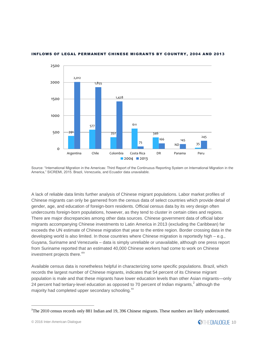

#### INFLOWS OF LEGAL PERMANENT CHINESE MIGRANTS BY COUNTRY, 2004 AND 2013

Source: "International Migration in the Americas: Third Report of the Continuous Reporting System on International Migration in the America," SICREMI, 2015. Brazil, Venezuela, and Ecuador data unavailable.

A lack of reliable data limits further analysis of Chinese migrant populations. Labor market profiles of Chinese migrants can only be garnered from the census data of select countries which provide detail of gender, age, and education of foreign-born residents. Official census data by its very design often undercounts foreign-born populations, however, as they tend to cluster in certain cities and regions. There are major discrepancies among other data sources. Chinese government data of official labor migrants accompanying Chinese investments to Latin America in 2013 (excluding the Caribbean) far exceeds the UN estimate of Chinese migration that year to the entire region. Border crossing data in the developing world is also limited. In those countries where Chinese migration is reportedly high – e.g., Guyana, Suriname and Venezuela – data is simply unreliable or unavailable, although one press report from Suriname reported that an estimated 40,000 Chinese workers had come to work on Chinese investment projects there.<sup>xix</sup>

Available census data is nonetheless helpful in characterizing some specific populations. Brazil, which records the largest number of Chinese migrants, indicates that 54 percent of its Chinese migrant population is male and that these migrants have lower education levels than other Asian migrants—only 24 percent had tertiary-level education as opposed to 70 percent of Indian migrants,<sup>2</sup> although the majority had completed upper secondary schooling.<sup>xx</sup>

<sup>2</sup>The 2010 census records only 881 Indian and 19, 396 Chinese migrants. These numbers are likely undercounted.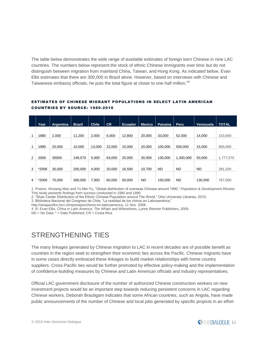The table below demonstrates the wide range of available estimates of foreign born Chinese in nine LAC countries. The numbers below represent the stock of ethnic Chinese immigrants over time but do not distinguish between migration from mainland China, Taiwan, and Hong Kong. As indicated below, Evan Ellis estimates that there are 300,000 in Brazil alone. However, based on interviews with Chinese and Taiwanese embassy officials, he puts the total figure at closer to one half million. $^{xxi}$ 

|   | Year  | Argentina | <b>Brazil</b> | <b>Chile</b> | <b>CR</b> | <b>Ecuador</b> | <b>Mexico</b> | Panama    | Peru      | Venezuela | <b>TOTAL</b> |
|---|-------|-----------|---------------|--------------|-----------|----------------|---------------|-----------|-----------|-----------|--------------|
|   |       |           |               |              |           |                |               |           |           |           |              |
| 1 | 1980  | 2,000     | 11.200        | 2.000        | 6,000     | 12.800         | 20,000        | 33,000    | 52,000    | 14.000    | 153,000      |
|   | 1990  | 20,000    | 10.000        | 13.000       | 22,000    | 15.000         | 20,000        | 100.000   | 500.000   | 15.000    | 805,000      |
| 2 | 2000  | 30000     | 149,570       | 5.000        | 63,000    | 20,000         | 30,000        | 130.000   | 1,300,000 | 50,000    | 1,777,570    |
| 3 | *2008 | 30.000    | 200.000       | 4.000        | 20,000    | 16.500         | 10.700        | <b>ND</b> | ND.       | <b>ND</b> | 281,200      |
| 4 | *2009 | 70.000    | 300.000       | 7.000        | 60,000    | 50.000         | <b>ND</b>     | 150.000   | <b>ND</b> | 130.000   | 767,000      |

#### ESTIMATES OF CHINESE MIGRANT POPULATIONS IN SELECT LATIN AMERICAN COUNTRIES BY SOURCE: 1980-2010

1. Poston, Xinxiang Mao and Yu Mei-Yu, "Global distribution of overseas Chinese around 1990," *Population & Development Review*. This study presents findings from surveys conducted in 1980 and 1990.

2. "Shao Center Distribution of the Ethnic Chinese Population around The World," Ohio University Libraries, 2010.

3. Biblioteca Nacional del Congreso de Chile, "La realidad de los chinos en Latinoamérica,"

http://asiapacifico.bcn.cl/reportajes/chinos-en-latinoamerica, 11 Nov. 2008.

4. R. Evan Ellis, *China in Latin America. The Whats and Wherefores*, Lynne Rienner Publishers, 2009.

ND = No Data; \* = Date Published; CR = Costa Rica

## STRENGTHENING TIES

The many linkages generated by Chinese migration to LAC in recent decades are of possible benefit as countries in the region seek to strengthen their economic ties across the Pacific. Chinese migrants have in some cases directly embraced these linkages to build market relationships with home country suppliers. Cross-Pacific ties would be further promoted by effective policy-making and the implementation of confidence-building measures by Chinese and Latin American officials and industry representatives.

Official LAC government disclosure of the number of authorized Chinese construction workers on new investment projects would be an important step towards reducing persistent concerns in LAC regarding Chinese workers. Deborah Brautigam indicates that some African countries, such as Angola, have made public announcements of the number of Chinese and local jobs generated by specific projects in an effort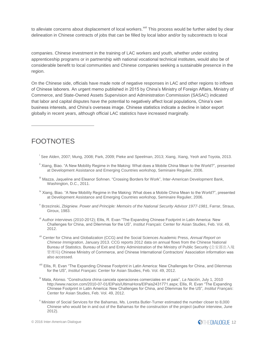to alleviate concerns about displacement of local workers.<sup>xxii</sup> This process would be further aided by clear delineation in Chinese contracts of jobs that can be filled by local labor and/or by subcontracts to local

companies. Chinese investment in the training of LAC workers and youth, whether under existing apprenticeship programs or in partnership with national vocational technical institutes, would also be of considerable benefit to local communities and Chinese companies seeking a sustainable presence in the region.

On the Chinese side, officials have made note of negative responses in LAC and other regions to inflows of Chinese laborers. An urgent memo published in 2015 by China's Ministry of Foreign Affairs, Ministry of Commerce, and State-Owned Assets Supervision and Administration Commission (SASAC) indicated that labor and capital disputes have the potential to negatively affect local populations, China's own business interests, and China's overseas image. Chinese statistics indicate a decline in labor export globally in recent years, although official LAC statistics have increased marginally.

## FOOTNOTES

- i See Alden, 2007; Mung, 2008; Park, 2009; Pieke and Speelman, 2013; Xiang, Xiang, Yeoh and Toyota, 2013.
- <sup>ii</sup> Xiang. Biao. "A New Mobility Regime in the Making: What does a Mobile China Mean to the World?", presented at Development Assistance and Emerging Countries workshop, Seminaire Regulier, 2006.
- iii Mazza, Jaqueline and Eleanor Sohnen. "Crossing Borders for Work", Inter-American Development Bank, Washington, D.C., 2011.
- <sup>iv</sup> Xiang, Biao. "A New Mobility Regime in the Making: What does a Mobile China Mean to the World?", presented at Development Assistance and Emerging Countries workshop, Seminaire Regulier, 2006.
- v Brzezinski, Zbigniew. *Power and Principle: Memoirs of the National Security Advisor 1977-1981*, Farrar, Straus, Giroux, 1983.
- <sup>vi</sup> Author interviews (2010-2012); Ellis, R. Evan "The Expanding Chinese Footprint in Latin America: New Challenges for China, and Dilemmas for the US"*, Institut Français*: Center for Asian Studies, Feb. Vol. 49, 2012.
- vii Center for China and Globalization (CCG) and the Social Sciences Academic Press, *Annual Report on Chinese Immigration*, January 2013. CCG reports 2012 data on annual flows from the Chinese National Bureau of Statistics. Bureau of Exit and Entry Administration of the Ministry of Public Security (公安部出入境 管理局) Chinese Ministry of Commerce, and Chinese International Contractors' Association information was also accessed.
- viii Ellis, R. Evan "The Expanding Chinese Footprint in Latin America: New Challenges for China, and Dilemmas for the US"*, Institut Français*: Center for Asian Studies, Feb. Vol. 49, 2012.
- ix Mata, Alonso. "Constructora china cancela operaciones comerciales en el pais", *La Nación*, July 1, 2010 http://www.nacion.com/2010-07-01/ElPais/UltimaHora/ElPais2431771.aspx; Ellis, R. Evan "The Expanding Chinese Footprint in Latin America: New Challenges for China, and Dilemmas for the US"*, Institut Français*: Center for Asian Studies, Feb. Vol. 49, 2012.
- <sup>x</sup> Minister of Social Services for the Bahamas, Ms. Loretta Butler-Turner estimated the number closer to 8,000 Chinese who would be in and out of the Bahamas for the construction of the project (author interview, June 2012).